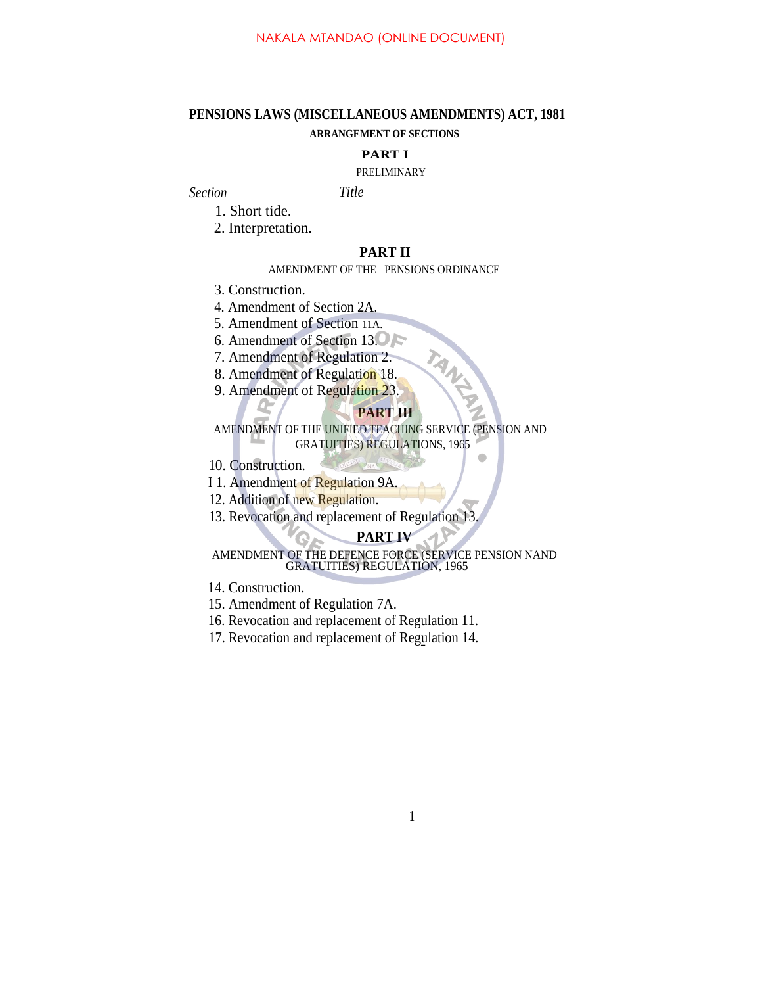# **PENSIONS LAWS (MISCELLANEOUS AMENDMENTS) ACT, 1981 ARRANGEMENT OF SECTIONS**

### **PART I**

### PRELIMINARY

*Section Title*

1. Short tide.

2. Interpretation.

# **PART II**

### AMENDMENT OF THE PENSIONS ORDINANCE

3. Construction.

4. Amendment of Section 2A.

5. Amendment of Section 11A.

6. Amendment of Section 13.

7. Amendment of Regulation 2.

8. Amendment of Regulation 18.

9. Amendment of Regulation 23.

## **PART III**

AMENDMENT OF THE UNIFIED TEACHING SERVICE (PENSION AND GRATUITIES) REGULATIONS, 1965

10. Construction.

I 1. Amendment of Regulation 9A.

12. Addition of new Regulation.

13. Revocation and replacement of Regulation 13.

## **PART IV**

AMENDMENT OF THE DEFENCE FORCE (SERVICE PENSION NAND GRATUITIES) REGULATION, 1965

14. Construction.

- 15. Amendment of Regulation 7A.
- 16. Revocation and replacement of Regulation 11.
- 17. Revocation and replacement of Regulation 14. -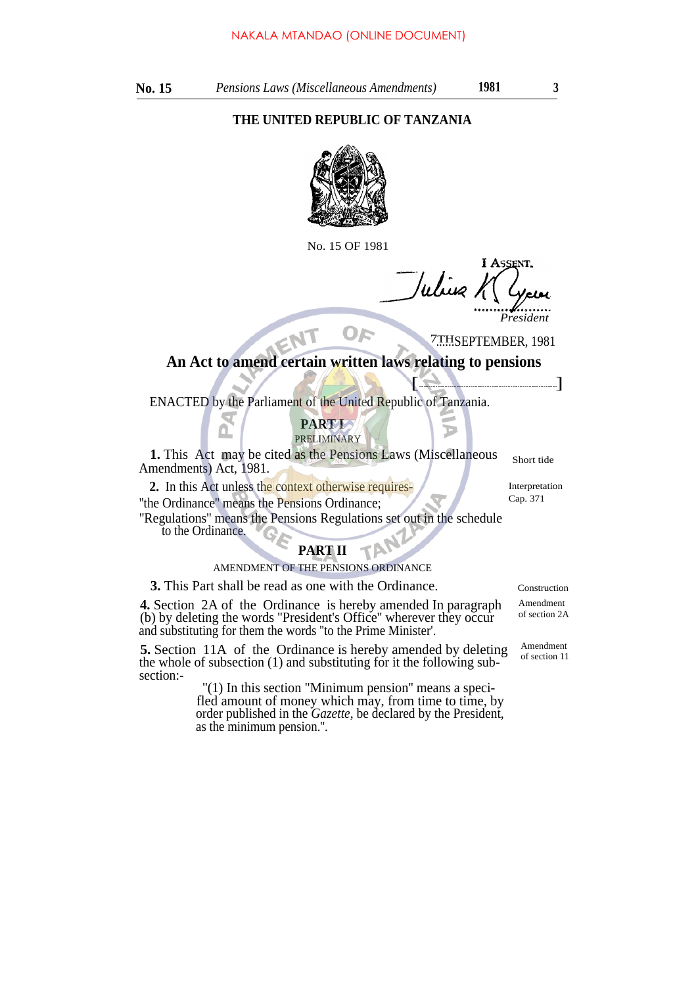## **THE UNITED REPUBLIC OF TANZANIA**



No. 15 OF 1981

I ASSENT, Wiig *President*

D

7THSEPTEMBER, 1981

# **An Act to amend certain written laws relating to pensions**  $\left( \begin{array}{cc} \bullet & \bullet & \bullet \end{array} \right)$

Or

ENACTED by the Parliament of the United Republic of Tanzania.

### **PART I** PRELIMINARY

**1.** This Act may be cited as the Pensions Laws (Miscellaneous Amendments) Act, 1981.

2. In this Act unless the context otherwise requires-<br> **2.** Interpretation<br>
Cap. 371 "the Ordinance" means the Pensions Ordinance;

''Regulations'' means the Pensions Regulations set out in the schedule to the Ordinance.

# **PART II**

## AMENDMENT OF THE PENSIONS ORDINANCE

**3.** This Part shall be read as one with the Ordinance. Construction

**4.** Section 2A of the Ordinance is hereby amended In paragraph (b) by deleting the words ''President's Office'' wherever they occur and substituting for them the words ''to the Prime Minister'.

**5.** Section 11A of the Ordinance is hereby amended by deleting the whole of subsection (1) and substituting for it the following subsection:-

 $''(1)$  In this section "Minimum pension" means a specifled amount of money which may, from time to time, by order published in the *Gazette,* be declared by the President, as the minimum pension.''.

Amendment of section 2A

Amendment of section 11

Short tide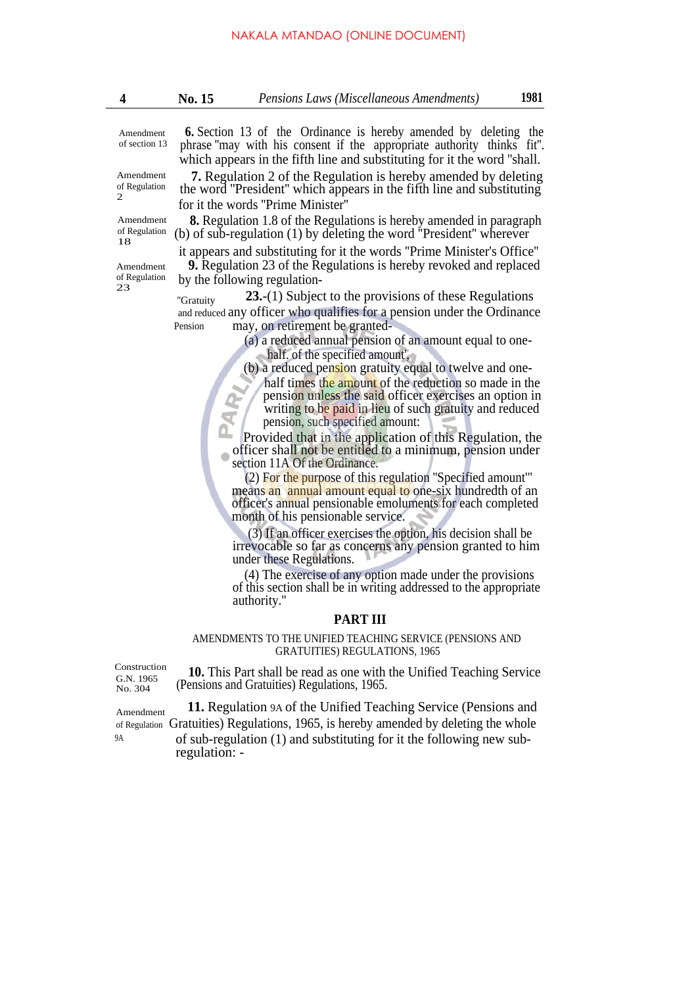Amendment of section 13

Amendment of Regulation 2

Amendment of Regulation 18

of Regulation 23

 **6.** Section 13 of the Ordinance is hereby amended by deleting the phrase ''may with his consent if the appropriate authority thinks fit''. which appears in the fifth line and substituting for it the word ''shall.

**7.** Regulation 2 of the Regulation is hereby amended by deleting the word ''President'' which appears in the fifth line and substituting for it the words ''Prime Minister''

**8.** Regulation 1.8 of the Regulations is hereby amended in paragraph (b) of sub-regulation (1) by deleting the word ''President'' wherever

it appears and substituting for it the words ''Prime Minister's Office'' Amendment **9.** Regulation 23 of the Regulations is hereby revoked and replaced by the following regulation-

> "Gratuity **23.**-(1) Subject to the provisions of these Regulations and reduced any officer who qualifies for a pension under the Ordinance Pension may, on retirement be granted-

> > (a) a reduced annual pension of an amount equal to onehalf. of the specified amount',

(b) a reduced pension gratuity equal to twelve and one-

half times the amount of the reduction so made in the pension unless the said officer exercises an option in writing to be paid in lieu of such gratuity and reduced pension, such specified amount:

Provided that in the application of this Regulation, the officer shall not be entitled to a minimum, pension under section 11A Of the Ordinance.

(2) For the purpose of this regulation ''Specified amount'" means an annual amount equal to one-six hundredth of an officer's annual pensionable emoluments for each completed month of his pensionable service.

(3) If an officer exercises the option, his decision shall be irrevocable so far as concerns any pension granted to him under these Regulations.

(4) The exercise of any option made under the provisions of this section shall be in writing addressed to the appropriate authority.''

### **PART III**

### AMENDMENTS TO THE UNIFIED TEACHING SERVICE (PENSIONS AND GRATUITIES) REGULATIONS, 1965

Construction G.N. 1965 No. 304

**10.** This Part shall be read as one with the Unified Teaching Service (Pensions and Gratuities) Regulations, 1965.

Amendment **11.** Regulation 9A of the Unified Teaching Service (Pensions and of Regulation Gratuities) Regulations, 1965, is hereby amended by deleting the whole 9A of sub-regulation (1) and substituting for it the following new subregulation: -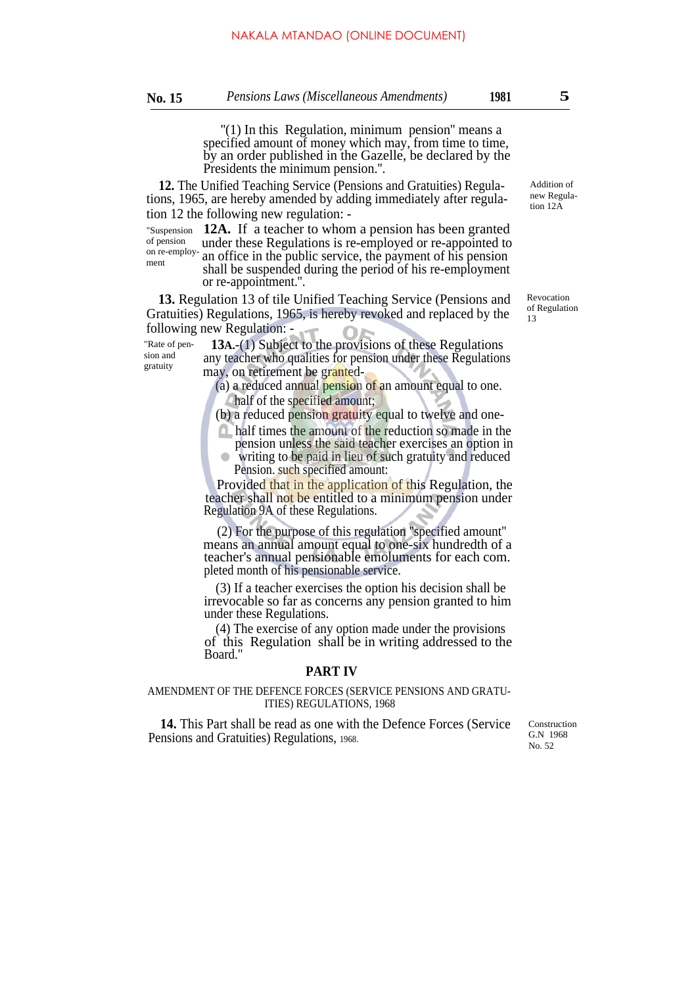$'(1)$  In this Regulation, minimum pension" means a specified amount of money which may, from time to time, by an order published in the Gazelle, be declared by the Presidents the minimum pension.''.

**12.** The Unified Teaching Service (Pensions and Gratuities) Regulations, 1965, are hereby amended by adding immediately after regulation 12 the following new regulation: -

of pension on re-employment

sion and gratuity

"Suspension 12A. If a teacher to whom a pension has been granted under these Regulations is re-employed or re-appointed to an office in the public service, the payment of his pension shall be suspended during the period of his re-employment or re-appointment.''.

**13.** Regulation 13 of tile Unified Teaching Service (Pensions and Gratuities) Regulations, 1965, is hereby revoked and replaced by the following new Regulation: -

 **13A.**-(1) Subject to the provisions of these Regulations any teacher who qualities for pension under these Regulations may, on retirement be granted- "Rate of pen-

(a) a reduced annual pension of an amount equal to one. half of the specified amount;

(b) a reduced pension gratuity equal to twelve and one-

half times the amount of the reduction so made in the pension unless the said teacher exercises an option in

writing to be paid in lieu of such gratuity and reduced Pension. such specified amount:

Provided that in the application of this Regulation, the teacher shall not be entitled to a minimum pension under Regulation 9A of these Regulations.

(2) For the purpose of this regulation ''specified amount'' means an annual amount equal to one-six hundredth of a teacher's annual pensionable emoluments for each com. pleted month of his pensionable service.

(3) If a teacher exercises the option his decision shall be irrevocable so far as concerns any pension granted to him under these Regulations.

(4) The exercise of any option made under the provisions of this Regulation shall be in writing addressed to the Board."

### **PART IV**

AMENDMENT OF THE DEFENCE FORCES (SERVICE PENSIONS AND GRATU-ITIES) REGULATIONS, 1968

**14.** This Part shall be read as one with the Defence Forces (Service Pensions and Gratuities) Regulations, 1968.

Construction G.N 1968 No. 52

Revocation of Regulation 13

Addition of new Regulation 12A